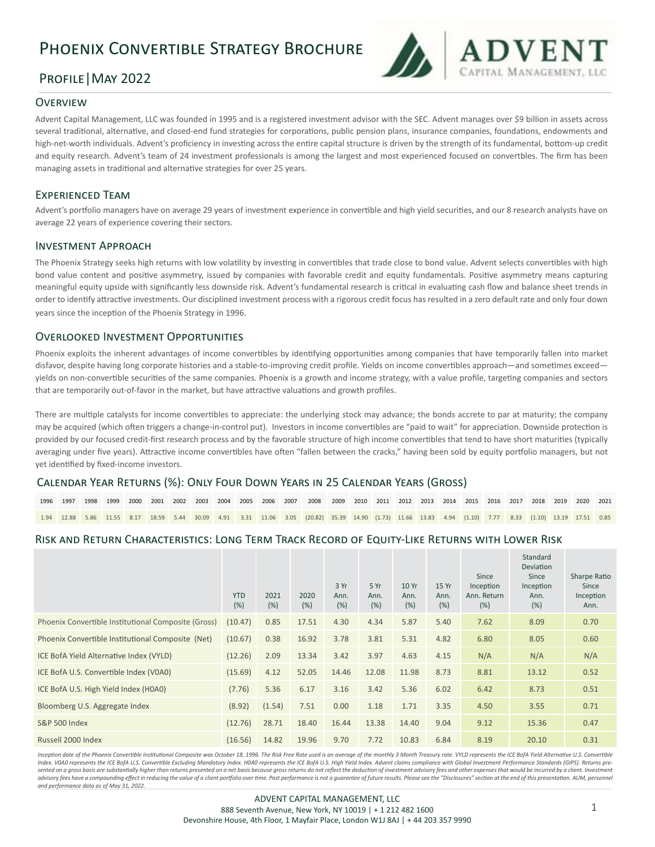# Phoenix Convertible Strategy Brochure

## Profile|May 2022

## **OVERVIEW**

Advent Capital Management, LLC was founded in 1995 and is a registered investment advisor with the SEC. Advent manages over \$9 billion in assets across several traditional, alternative, and closed-end fund strategies for corporations, public pension plans, insurance companies, foundations, endowments and high-net-worth individuals. Advent's proficiency in investing across the entire capital structure is driven by the strength of its fundamental, bottom-up credit and equity research. Advent's team of 24 investment professionals is among the largest and most experienced focused on convertbles. The firm has been managing assets in traditional and alternative strategies for over 25 years.

## Experienced Team

Advent's portfolio managers have on average 29 years of investment experience in convertible and high yield securities, and our 8 research analysts have on average 22 years of experience covering their sectors.

### Investment Approach

The Phoenix Strategy seeks high returns with low volatility by investing in convertibles that trade close to bond value. Advent selects convertibles with high bond value content and positive asymmetry, issued by companies with favorable credit and equity fundamentals. Positive asymmetry means capturing meaningful equity upside with significantly less downside risk. Advent's fundamental research is critical in evaluating cash flow and balance sheet trends in order to identify attractive investments. Our disciplined investment process with a rigorous credit focus has resulted in a zero default rate and only four down years since the inception of the Phoenix Strategy in 1996.

## Overlooked Investment Opportunities

Phoenix exploits the inherent advantages of income convertibles by identifying opportunities among companies that have temporarily fallen into market disfavor, despite having long corporate histories and a stable-to-improving credit profile. Yields on income convertibles approach—and sometimes exceed yields on non-convertible securities of the same companies. Phoenix is a growth and income strategy, with a value profile, targeting companies and sectors that are temporarily out-of-favor in the market, but have attractive valuations and growth profiles. 

There are multiple catalysts for income convertibles to appreciate: the underlying stock may advance; the bonds accrete to par at maturity; the company may be acquired (which often triggers a change-in-control put). Investors in income convertibles are "paid to wait" for appreciation. Downside protection is provided by our focused credit-first research process and by the favorable structure of high income convertibles that tend to have short maturities (typically averaging under five years). Attractive income convertibles have often "fallen between the cracks," having been sold by equity portfolio managers, but not yet identified by fixed-income investors.

## Calendar Year Returns (%): Only Four Down Years in 25 Calendar Years (Gross)

|  |  |  |  |  |  | 1996 1997 1998 1999 2000 2001 2002 2003 2004 2005 2006 2007 2008 2009 2010 2011 2012 2013 2014 2015 2016 2017 2018 2019 2020 2021                     |  |  |  |  |  |  |  |
|--|--|--|--|--|--|-------------------------------------------------------------------------------------------------------------------------------------------------------|--|--|--|--|--|--|--|
|  |  |  |  |  |  | 1.94 12.88 5.86 11.55 8.17 18.59 5.44 30.09 4.91 3.31 11.06 3.05 (20.82) 35.39 14.90 (1.73) 11.66 13.83 4.94 (1.10) 7.77 8.33 (1.10) 13.19 17.51 0.85 |  |  |  |  |  |  |  |

## Risk and Return Characteristics: Long Term Track Record of Equity-Like Returns with Lower Risk

|                                                     | <b>YTD</b><br>(%) | 2021<br>(%) | 2020<br>(%) | 3 Yr<br>Ann.<br>(%) | 5Yr<br>Ann.<br>(%) | 10 Yr<br>Ann.<br>(%) | 15 Yr<br>Ann.<br>(%) | Since<br>Inception<br>Ann. Return<br>(%) | Standard<br>Deviation<br>Since<br>Inception<br>Ann.<br>(%) | Sharpe Ratio<br>Since<br>Inception<br>Ann. |
|-----------------------------------------------------|-------------------|-------------|-------------|---------------------|--------------------|----------------------|----------------------|------------------------------------------|------------------------------------------------------------|--------------------------------------------|
| Phoenix Convertible Institutional Composite (Gross) | (10.47)           | 0.85        | 17.51       | 4.30                | 4.34               | 5.87                 | 5.40                 | 7.62                                     | 8.09                                                       | 0.70                                       |
| Phoenix Convertible Institutional Composite (Net)   | (10.67)           | 0.38        | 16.92       | 3.78                | 3.81               | 5.31                 | 4.82                 | 6.80                                     | 8.05                                                       | 0.60                                       |
| ICE BofA Yield Alternative Index (VYLD)             | (12.26)           | 2.09        | 13.34       | 3.42                | 3.97               | 4.63                 | 4.15                 | N/A                                      | N/A                                                        | N/A                                        |
| ICE BofA U.S. Convertible Index (V0A0)              | (15.69)           | 4.12        | 52.05       | 14.46               | 12.08              | 11.98                | 8.73                 | 8.81                                     | 13.12                                                      | 0.52                                       |
| ICE BofA U.S. High Yield Index (H0A0)               | (7.76)            | 5.36        | 6.17        | 3.16                | 3.42               | 5.36                 | 6.02                 | 6.42                                     | 8.73                                                       | 0.51                                       |
| Bloomberg U.S. Aggregate Index                      | (8.92)            | (1.54)      | 7.51        | 0.00                | 1.18               | 1.71                 | 3.35                 | 4.50                                     | 3.55                                                       | 0.71                                       |
| <b>S&amp;P 500 Index</b>                            | (12.76)           | 28.71       | 18.40       | 16.44               | 13.38              | 14.40                | 9.04                 | 9.12                                     | 15.36                                                      | 0.47                                       |
| Russell 2000 Index                                  | (16.56)           | 14.82       | 19.96       | 9.70                | 7.72               | 10.83                | 6.84                 | 8.19                                     | 20.10                                                      | 0.31                                       |

Inception date of the Phoenix Convertible Institutional Composite was October 18, 1996. The Risk Free Rate used is an average of the monthly 3 Month Treasury rate. VYLD represents the ICE BofA Yield Alternative U.S. Conver Index. VOAO represents the ICE BofA U.S. Convertible Excluding Mandatory Index. HOAO represents the ICE BofA U.S. High Yield Index. Advent claims compliance with Global Investment Performance Standards (GIPS). Returns presented on a gross basis are substantially higher than returns presented on a net basis because gross returns do not reflect the deduction of investment advisory fees and other expenses that would be incurred by a client. I advisory fees have a compounding effect in reducing the value of a client portfolio over time. Past performance is not a guarantee of future results. Please see the "Disclosures" section at the end of this presentation. AU *and performance data as of May 31, 2022.*

**DVENT**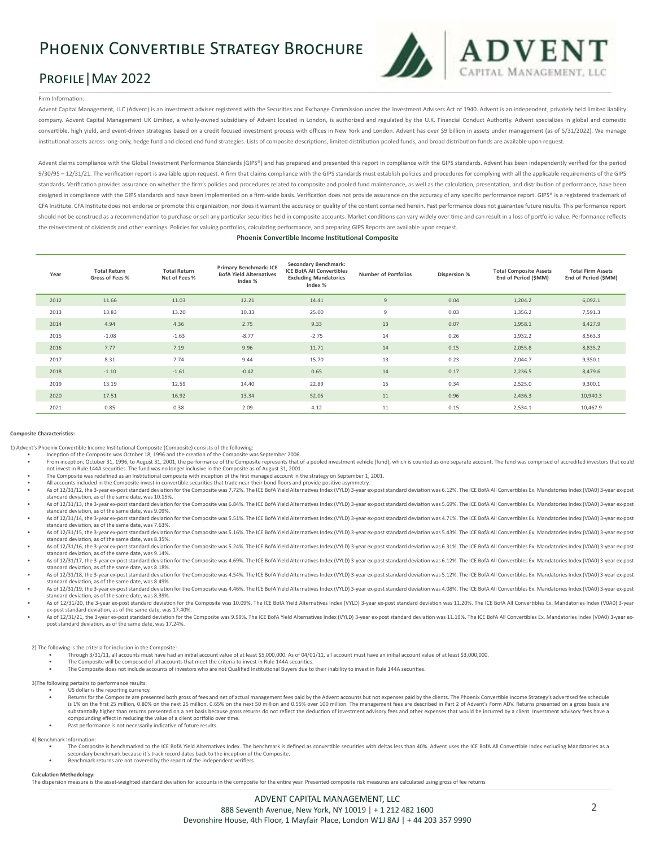# Phoenix Convertible Strategy Brochure

## Profile|May 2022



#### Firm Information:

Advent Capital Management, LLC (Advent) is an investment adviser registered with the Securities and Exchange Commission under the Investment Advisers Act of 1940. Advent is an independent, privately held limited liability company. Advent Capital Management UK Limited, a wholly-owned subsidiary of Advent located in London, is authorized and regulated by the U.K. Financial Conduct Authority. Advent specializes in global and domestic convertible, high yield, and event-driven strategies based on a credit focused investment process with offices in New York and London. Advent has over \$9 billion in assets under management (as of 5/31/2022). We manage institutional assets across long-only, hedge fund and closed end fund strategies. Lists of composite descriptions, limited distribution pooled funds, and broad distribution funds are available upon request.

Advent claims compliance with the Global Investment Performance Standards (GIPS®) and has prepared and presented this report in compliance with the GIPS standards. Advent has been independently verified for the period 9/30/95 - 12/31/21. The verification report is available upon request. A firm that claims compliance with the GIPS standards must establish policies and procedures for complying with all the applicable requirements of the standards. Verification provides assurance on whether the firm's policies and procedures related to composite and pooled fund maintenance, as well as the calculation, presentation, and distribution of performance, have been designed in compliance with the GIPS standards and have been implemented on a firm-wide basis. Verification does not provide assurance on the accuracy of any specific performance report. GIPS® is a registered trademark of CFA Institute. CFA Institute does not endorse or promote this organization, nor does it warrant the accuracy or quality of the content contained herein. Past performance does not guarantee future results. This performance should not be construed as a recommendation to purchase or sell any particular securities held in composite accounts. Market conditions can vary widely over time and can result in a loss of portfolio value. Performance ref the reinvestment of dividends and other earnings. Policies for valuing portfolios, calculating performance, and preparing GIPS Reports are available upon request.

#### **Phoenix Convertible Income Institutional Composite**

| Year | <b>Total Return</b><br>Gross of Fees % | <b>Total Return</b><br>Net of Fees % | Primary Benchmark: ICE<br><b>BofA Yield Alternatives</b><br>Index % | Secondary Benchmark:<br><b>ICE BofA All Convertibles</b><br><b>Excluding Mandatories</b><br>Index % | <b>Number of Portfolios</b> | Dispersion % | <b>Total Composite Assets</b><br>End of Period (\$MM) | <b>Total Firm Assets</b><br>End of Period (\$MM) |
|------|----------------------------------------|--------------------------------------|---------------------------------------------------------------------|-----------------------------------------------------------------------------------------------------|-----------------------------|--------------|-------------------------------------------------------|--------------------------------------------------|
| 2012 | 11.66                                  | 11.03                                | 12.21                                                               | 14.41                                                                                               | $\overline{9}$              | 0.04         | 1,204.2                                               | 6,092.1                                          |
| 2013 | 13.83                                  | 13.20                                | 10.33                                                               | 25.00                                                                                               | 9                           | 0.03         | 1,356.2                                               | 7,591.3                                          |
| 2014 | 4.94                                   | 4.36                                 | 2.75                                                                | 9.33                                                                                                | 13                          | 0.07         | 1,958.1                                               | 8,427.9                                          |
| 2015 | $-1.08$                                | $-1.63$                              | $-8.77$                                                             | $-2.75$                                                                                             | 14                          | 0.26         | 1,932.2                                               | 8,563.3                                          |
| 2016 | 7.77                                   | 7.19                                 | 9.96                                                                | 11.71                                                                                               | 14                          | 0.15         | 2,055.8                                               | 8,835.2                                          |
| 2017 | 8.31                                   | 7.74                                 | 9.44                                                                | 15.70                                                                                               | 13                          | 0.23         | 2,044.7                                               | 9,350.1                                          |
| 2018 | $-1.10$                                | $-1.61$                              | $-0.42$                                                             | 0.65                                                                                                | 14                          | 0.17         | 2,236.5                                               | 8,479.6                                          |
| 2019 | 13.19                                  | 12.59                                | 14.40                                                               | 22.89                                                                                               | 15                          | 0.34         | 2,525.0                                               | 9,300.1                                          |
| 2020 | 17.51                                  | 16.92                                | 13.34                                                               | 52.05                                                                                               | 11                          | 0.96         | 2,436.3                                               | 10,940.3                                         |
| 2021 | 0.85                                   | 0.38                                 | 2.09                                                                | 4.12                                                                                                | 11                          | 0.15         | 2,534.1                                               | 10,467.9                                         |

#### **Composite Characteristics:**

1) Advent's Phoenix Convertible Income Institutional Composite (Composite) consists of the following:

- Inception of the Composite was October 18, 1996 and the creation of the Composite was September 2006.
- From inception, October 31, 1996, to August 31, 2001, the performance of the Composite represents that of a pooled investment vehicle (fund), which is counted as one separate account. The fund was comprised of accredited i not invest in Rule 144A securities. The fund was no longer inclusive in the Composite as of August 31, 2001.
- The Composite was redefined as an Institutional composite with inception of the first managed account in the strategy on September 1, 2001.
- All accounts included in the Composite invest in convertible securities that trade near their bond floors and provide positive asymmetry.
- As of 12/31/12, the 3-year ex-post standard deviation for the Composite was 7.72%. The ICE BofA Yield Alternatives Index (VYLD) 3-year ex-post standard deviation was 6.12%. The ICE BofA All Convertibles Ex. Mandatories Ind As of 12/31/13, the 3-year ex-post standard deviation for the Composite was 6.84%. The ICE BofA Yield Alternatives Index (VYLD) 3-year ex-post standard deviation was 5.69%. The ICE BofA All Convertibles Ex. Mandatories Ind
- standard deviation, as of the same date, was 9.09%. As of 12/31/14, the 3-year ex-post standard deviation for the Composite was 5.51%. The ICE BofA Yield Alternatives Index (VYLD) 3-year ex-post standard deviation was 4.71%. The ICE BofA AII Convertibles Ex. Mandatories Ind
- standard deviation, as of the same date, was 7.63%.
- As of 12/31/15, the 3-year ex-post standard deviation for the Composite was 5.16%. The ICE BofA Yield Alternatives Index (VVID) 3-year ex-post standard deviation was 5.43%. The ICE BofA All Convertibles Ex. Mandatories Ind standard deviation, as of the same date, was 8.35%.
- As of 12/31/16, the 3-year ex-post standard deviation for the Composite was 5.24%. The ICE BofA Yield Alternatives Index (VYLD) 3-year ex-post standard deviation was 6.31%. The ICE BofA Ail Convertibles Ex. Mandatories Ind standard deviation, as of the same date, was 9.14%.
- As of 12/31/17, the 3-year ex-post standard deviation for the Composite was 4.69%. The ICE BofA Yield Alternatives Index (VYLD) 3-year ex-post standard deviation was 6.12%. The ICE BofA All Convertibles Ex. Mandatories Ind
- As of 12/31/18, the 3-year ex-post standard deviation for the Composite was 4,54%. The ICE BofA Yield Alternatives Index (VYLD) 3-year ex-post standard deviation was 5.12%. The ICE BofA All Convertibles Ex. Mandatories Ind standard deviation, as of the same date, was 8.49%.
- As of 12/31/19, the 3-year ex-post standard deviation for the Composite was 4.46%. The ICE BofA Yield Alternatives Index (VYLD) 3-year ex-post standard deviation was 4.08%. The ICE BofA Ail Convertibles Ex. Mandatories Ind standard deviation, as of the same date, was 8.39%.
- As of 12/31/20, the 3-year ex-post standard deviation for the Composite was 10.09%. The ICE BofA Yield Alternatives Index (VYLD) 3-year ex-post standard deviation was 11.20%. The ICE BofA All Convertibles Ex. Mandatories I ex-post standard deviation, as of the same date, was 17.40%.
- As of 12/31/21, the 3-year ex-post standard deviation for the Composite was 9.99%. The ICE BofA Yield Alternatives Index (VYLD) 3-year ex-post standard deviation was 11.19%. The ICE BofA All Convertibles Ex. Mandatories In post standard deviation, as of the same date, was 17.24%.

2) The following is the criteria for inclusion in the Composite:

- Through 3/31/11, all accounts must have had an initial account value of at least \$5,000,000. As of 04/01/11, all account must have an initial account value of at least \$3,000,000.
- The Composite will be composed of all accounts that meet the criteria to invest in Rule 144A securities.
- The Composite does not include accounts of investors who are not Qualified Institutional Buyers due to their inability to invest in Rule 144A securities.

3)The following pertains to performance results: US dollar is the reporting currency.

- Returns for the Composite are presented both gross of fees and net of actual management fees paid by the Advent accounts but not expenses paid by the clients. The Phoenix Convertible Income Strategy's advertised fee schedu substantially higher than returns presented on a net basis because gross returns do not reflect the deduction of investment advisory fees and other expenses that would be incurred by a client. Investment advisory fees have compounding effect in reducing the value of a client portfolio over time. Past performance is not necessarily indicative of future results.
- 4) Benchmark Information:
	- The Composite is benchmarked to the ICE BofA Yield Alternatives Index. The benchmark is defined as convertible securities with deltas less than 40%. Advent uses the ICE BofA All Convertible Index excluding Mandatories as a secondary benchmark because it's track record dates back to the inception of the Composite.
	- Benchmark returns are not covered by the report of the independent verifiers.

#### **Calculation Methodology:**

The dispersion measure is the asset-weighted standard deviation for accounts in the composite for the entire year. Presented composite risk measures are calculated using gross of fee returns